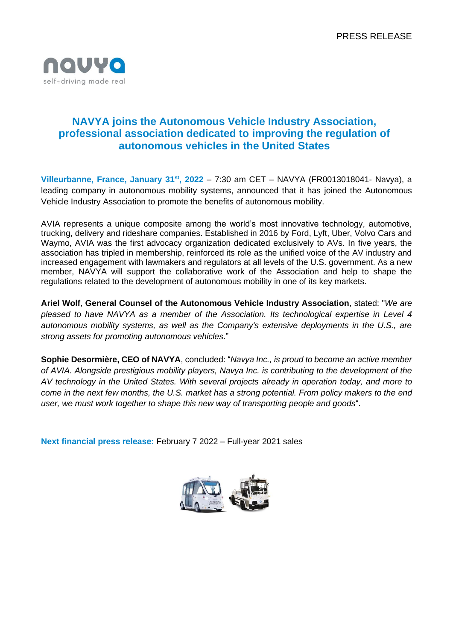

# **NAVYA joins the Autonomous Vehicle Industry Association, professional association dedicated to improving the regulation of autonomous vehicles in the United States**

**Villeurbanne, France, January 31st, 2022** – 7:30 am CET – NAVYA (FR0013018041- Navya), a leading company in autonomous mobility systems, announced that it has joined the Autonomous Vehicle Industry Association to promote the benefits of autonomous mobility.

AVIA represents a unique composite among the world's most innovative technology, automotive, trucking, delivery and rideshare companies. Established in 2016 by Ford, Lyft, Uber, Volvo Cars and Waymo, AVIA was the first advocacy organization dedicated exclusively to AVs. In five years, the association has tripled in membership, reinforced its role as the unified voice of the AV industry and increased engagement with lawmakers and regulators at all levels of the U.S. government. As a new member, NAVYA will support the collaborative work of the Association and help to shape the regulations related to the development of autonomous mobility in one of its key markets.

**Ariel Wolf**, **General Counsel of the Autonomous Vehicle Industry Association**, stated: "*We are pleased to have NAVYA as a member of the Association. Its technological expertise in Level 4 autonomous mobility systems, as well as the Company's extensive deployments in the U.S., are strong assets for promoting autonomous vehicles*."

**Sophie Desormière, CEO of NAVYA**, concluded: "*Navya Inc., is proud to become an active member of AVIA. Alongside prestigious mobility players, Navya Inc. is contributing to the development of the AV technology in the United States. With several projects already in operation today, and more to come in the next few months, the U.S. market has a strong potential. From policy makers to the end user, we must work together to shape this new way of transporting people and goods*".

**Next financial press release:** February 7 2022 – Full-year 2021 sales